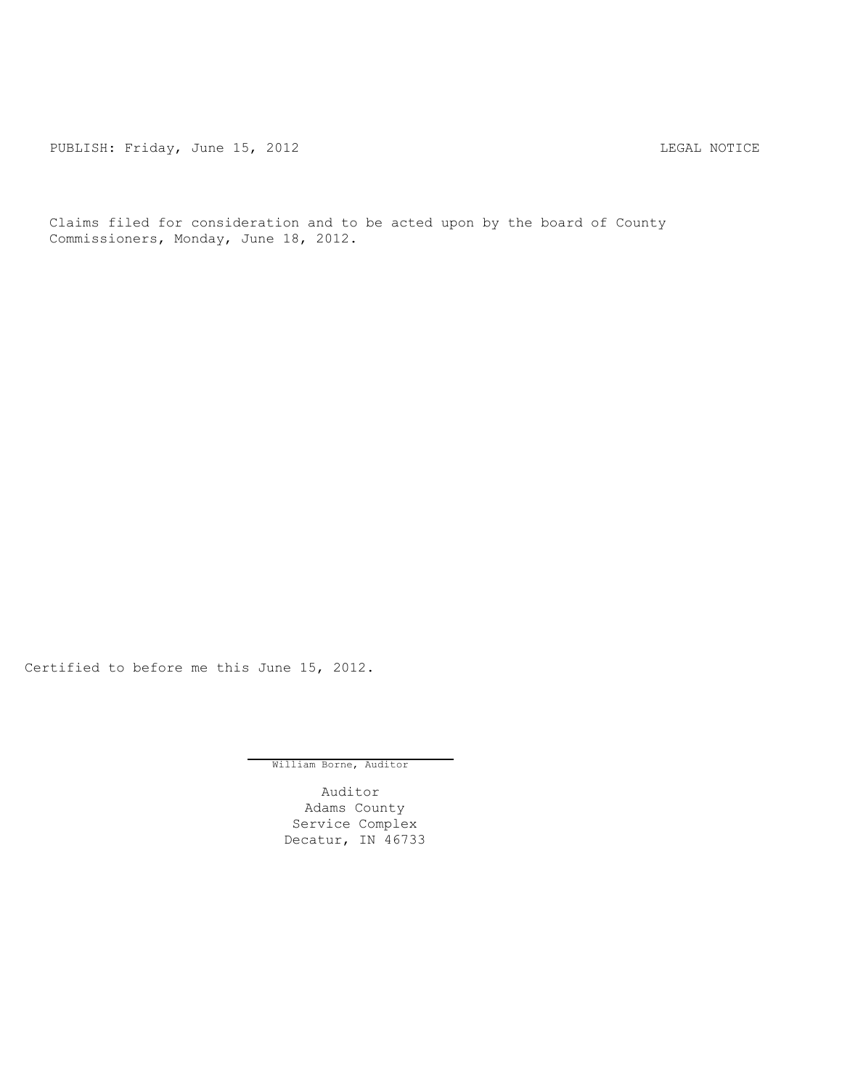PUBLISH: Friday, June 15, 2012 <br>
LEGAL NOTICE

Claims filed for consideration and to be acted upon by the board of County Commissioners, Monday, June 18, 2012.

Certified to before me this June 15, 2012.

William Borne, Auditor

Auditor Adams County Service Complex Decatur, IN 46733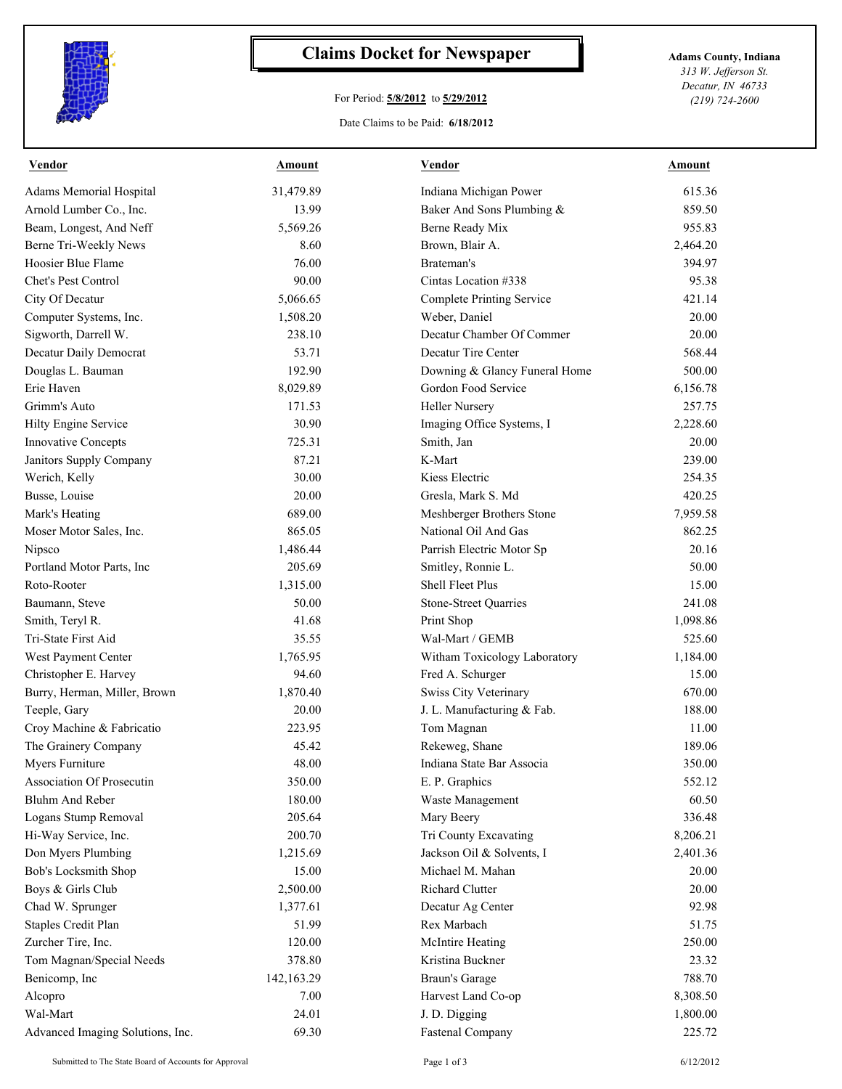

## **Claims Docket for Newspaper Adams County, Indiana**

## For Period: **5/8/2012** to **5/29/2012**

*313 W. Jefferson St. Decatur, IN 46733 (219) 724-2600*

## Date Claims to be Paid: **6/18/2012**

| Vendor                           | Amount     | Vendor                           | Amount   |
|----------------------------------|------------|----------------------------------|----------|
| Adams Memorial Hospital          | 31,479.89  | Indiana Michigan Power           | 615.36   |
| Arnold Lumber Co., Inc.          | 13.99      | Baker And Sons Plumbing &        | 859.50   |
| Beam, Longest, And Neff          | 5,569.26   | Berne Ready Mix                  | 955.83   |
| Berne Tri-Weekly News            | 8.60       | Brown, Blair A.                  | 2,464.20 |
| Hoosier Blue Flame               | 76.00      | Brateman's                       | 394.97   |
| Chet's Pest Control              | 90.00      | Cintas Location #338             | 95.38    |
| City Of Decatur                  | 5,066.65   | <b>Complete Printing Service</b> | 421.14   |
| Computer Systems, Inc.           | 1,508.20   | Weber, Daniel                    | 20.00    |
| Sigworth, Darrell W.             | 238.10     | Decatur Chamber Of Commer        | 20.00    |
| Decatur Daily Democrat           | 53.71      | Decatur Tire Center              | 568.44   |
| Douglas L. Bauman                | 192.90     | Downing & Glancy Funeral Home    | 500.00   |
| Erie Haven                       | 8,029.89   | Gordon Food Service              | 6,156.78 |
| Grimm's Auto                     | 171.53     | <b>Heller Nursery</b>            | 257.75   |
| Hilty Engine Service             | 30.90      | Imaging Office Systems, I        | 2,228.60 |
| <b>Innovative Concepts</b>       | 725.31     | Smith, Jan                       | 20.00    |
| Janitors Supply Company          | 87.21      | K-Mart                           | 239.00   |
| Werich, Kelly                    | 30.00      | Kiess Electric                   | 254.35   |
| Busse, Louise                    | 20.00      | Gresla, Mark S. Md               | 420.25   |
| Mark's Heating                   | 689.00     | Meshberger Brothers Stone        | 7,959.58 |
| Moser Motor Sales, Inc.          | 865.05     | National Oil And Gas             | 862.25   |
| Nipsco                           | 1,486.44   | Parrish Electric Motor Sp        | 20.16    |
| Portland Motor Parts, Inc        | 205.69     | Smitley, Ronnie L.               | 50.00    |
| Roto-Rooter                      | 1,315.00   | Shell Fleet Plus                 | 15.00    |
| Baumann, Steve                   | 50.00      | <b>Stone-Street Quarries</b>     | 241.08   |
| Smith, Teryl R.                  | 41.68      | Print Shop                       | 1,098.86 |
| Tri-State First Aid              | 35.55      | Wal-Mart / GEMB                  | 525.60   |
| West Payment Center              | 1,765.95   | Witham Toxicology Laboratory     | 1,184.00 |
| Christopher E. Harvey            | 94.60      | Fred A. Schurger                 | 15.00    |
| Burry, Herman, Miller, Brown     | 1,870.40   | Swiss City Veterinary            | 670.00   |
| Teeple, Gary                     | 20.00      | J. L. Manufacturing & Fab.       | 188.00   |
| Croy Machine & Fabricatio        | 223.95     | Tom Magnan                       | 11.00    |
| The Grainery Company             | 45.42      | Rekeweg, Shane                   | 189.06   |
| Myers Furniture                  | 48.00      | Indiana State Bar Associa        | 350.00   |
| <b>Association Of Prosecutin</b> | 350.00     | E. P. Graphics                   | 552.12   |
| Bluhm And Reber                  | 180.00     | Waste Management                 | 60.50    |
| Logans Stump Removal             | 205.64     | Mary Beery                       | 336.48   |
| Hi-Way Service, Inc.             | 200.70     | Tri County Excavating            | 8,206.21 |
| Don Myers Plumbing               | 1,215.69   | Jackson Oil & Solvents, I        | 2,401.36 |
| Bob's Locksmith Shop             | 15.00      | Michael M. Mahan                 | 20.00    |
| Boys & Girls Club                | 2,500.00   | Richard Clutter                  | 20.00    |
| Chad W. Sprunger                 | 1,377.61   | Decatur Ag Center                | 92.98    |
| Staples Credit Plan              | 51.99      | Rex Marbach                      | 51.75    |
| Zurcher Tire, Inc.               | 120.00     | <b>McIntire Heating</b>          | 250.00   |
| Tom Magnan/Special Needs         | 378.80     | Kristina Buckner                 | 23.32    |
| Benicomp, Inc                    | 142,163.29 | <b>Braun's Garage</b>            | 788.70   |
| Alcopro                          | 7.00       | Harvest Land Co-op               | 8,308.50 |
| Wal-Mart                         | 24.01      | J. D. Digging                    | 1,800.00 |
| Advanced Imaging Solutions, Inc. | 69.30      | <b>Fastenal Company</b>          | 225.72   |
|                                  |            |                                  |          |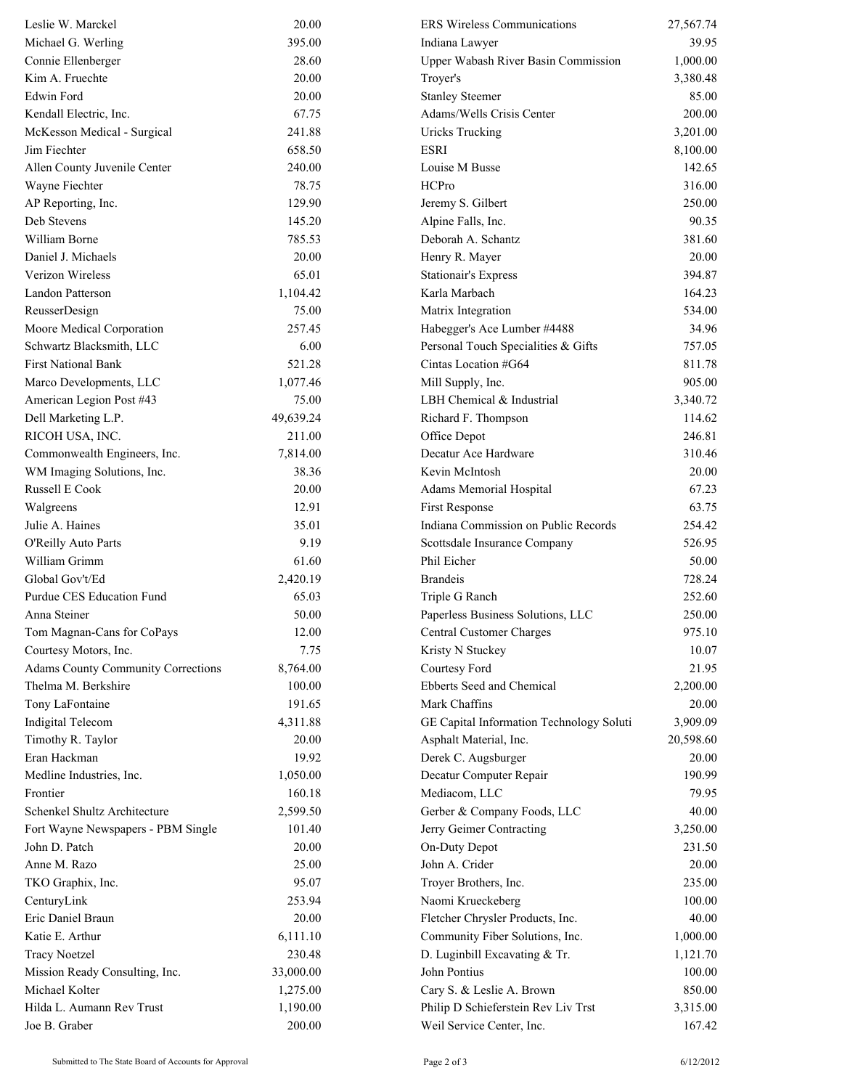| Leslie W. Marckel                          | 20.00              | <b>ERS Wireless Communications</b>         | 27,567.74          |
|--------------------------------------------|--------------------|--------------------------------------------|--------------------|
| Michael G. Werling                         | 395.00             | Indiana Lawyer                             | 39.95              |
| Connie Ellenberger                         | 28.60              | <b>Upper Wabash River Basin Commission</b> | 1,000.00           |
| Kim A. Fruechte                            | 20.00              | Troyer's                                   | 3,380.48           |
| Edwin Ford                                 | 20.00              | <b>Stanley Steemer</b>                     | 85.00              |
| Kendall Electric, Inc.                     | 67.75              | Adams/Wells Crisis Center                  | 200.00             |
| McKesson Medical - Surgical                | 241.88             | <b>Uricks Trucking</b>                     | 3,201.00           |
| Jim Fiechter                               | 658.50             | <b>ESRI</b>                                | 8,100.00           |
| Allen County Juvenile Center               | 240.00             | Louise M Busse                             | 142.65             |
| Wayne Fiechter                             | 78.75              | HCPro                                      | 316.00             |
| AP Reporting, Inc.                         | 129.90             | Jeremy S. Gilbert                          | 250.00             |
| Deb Stevens                                | 145.20             | Alpine Falls, Inc.                         | 90.35              |
| William Borne                              | 785.53             | Deborah A. Schantz                         | 381.60             |
| Daniel J. Michaels                         | 20.00              | Henry R. Mayer                             | 20.00              |
| Verizon Wireless                           | 65.01              | <b>Stationair's Express</b>                | 394.87             |
| Landon Patterson                           | 1,104.42           | Karla Marbach                              | 164.23             |
| ReusserDesign                              | 75.00              | Matrix Integration                         | 534.00             |
| Moore Medical Corporation                  | 257.45             | Habegger's Ace Lumber #4488                | 34.96              |
| Schwartz Blacksmith, LLC                   | 6.00               | Personal Touch Specialities & Gifts        | 757.05             |
| <b>First National Bank</b>                 | 521.28             | Cintas Location #G64                       | 811.78             |
| Marco Developments, LLC                    | 1,077.46           | Mill Supply, Inc.                          | 905.00             |
| American Legion Post #43                   | 75.00              | LBH Chemical & Industrial                  | 3,340.72           |
| Dell Marketing L.P.                        | 49,639.24          | Richard F. Thompson                        | 114.62             |
| RICOH USA, INC.                            | 211.00             | Office Depot                               | 246.81             |
| Commonwealth Engineers, Inc.               | 7,814.00           | Decatur Ace Hardware                       | 310.46             |
| WM Imaging Solutions, Inc.                 | 38.36              | Kevin McIntosh                             | 20.00              |
| Russell E Cook                             | 20.00              | Adams Memorial Hospital                    | 67.23              |
| Walgreens                                  | 12.91              | First Response                             | 63.75              |
| Julie A. Haines                            | 35.01              | Indiana Commission on Public Records       | 254.42             |
| O'Reilly Auto Parts                        | 9.19               | Scottsdale Insurance Company               | 526.95             |
| William Grimm                              | 61.60              | Phil Eicher                                | 50.00              |
| Global Gov't/Ed                            | 2,420.19           | <b>Brandeis</b>                            | 728.24             |
| Purdue CES Education Fund                  | 65.03              | Triple G Ranch                             | 252.60             |
| Anna Steiner                               | 50.00              | Paperless Business Solutions, LLC          | 250.00             |
| Tom Magnan-Cans for CoPays                 | 12.00              | Central Customer Charges                   | 975.10             |
| Courtesy Motors, Inc.                      | 7.75               | Kristy N Stuckey                           | 10.07              |
| <b>Adams County Community Corrections</b>  | 8,764.00           | Courtesy Ford                              | 21.95              |
| Thelma M. Berkshire                        | 100.00             | Ebberts Seed and Chemical                  | 2,200.00           |
| Tony LaFontaine                            | 191.65             | Mark Chaffins                              | 20.00              |
| Indigital Telecom                          | 4,311.88           | GE Capital Information Technology Soluti   | 3,909.09           |
| Timothy R. Taylor                          | 20.00              | Asphalt Material, Inc.                     | 20,598.60          |
| Eran Hackman                               | 19.92              | Derek C. Augsburger                        | 20.00              |
| Medline Industries, Inc.                   | 1,050.00           | Decatur Computer Repair                    | 190.99             |
| Frontier                                   | 160.18             | Mediacom, LLC                              | 79.95              |
| Schenkel Shultz Architecture               | 2,599.50           | Gerber & Company Foods, LLC                | 40.00              |
| Fort Wayne Newspapers - PBM Single         | 101.40             | Jerry Geimer Contracting                   | 3,250.00           |
| John D. Patch                              | 20.00              | On-Duty Depot                              | 231.50             |
| Anne M. Razo                               | 25.00              | John A. Crider                             | 20.00              |
| TKO Graphix, Inc.                          | 95.07              | Troyer Brothers, Inc.                      | 235.00             |
| CenturyLink                                | 253.94             | Naomi Krueckeberg                          | 100.00             |
| Eric Daniel Braun                          | 20.00              | Fletcher Chrysler Products, Inc.           | 40.00              |
| Katie E. Arthur                            | 6,111.10           | Community Fiber Solutions, Inc.            | 1,000.00           |
| <b>Tracy Noetzel</b>                       | 230.48             | D. Luginbill Excavating & Tr.              | 1,121.70           |
| Mission Ready Consulting, Inc.             | 33,000.00          | John Pontius                               | 100.00             |
| Michael Kolter                             | 1,275.00           | Cary S. & Leslie A. Brown                  | 850.00             |
| Hilda L. Aumann Rev Trust<br>Joe B. Graber | 1,190.00<br>200.00 | Philip D Schieferstein Rev Liv Trst        | 3,315.00<br>167.42 |
|                                            |                    | Weil Service Center, Inc.                  |                    |